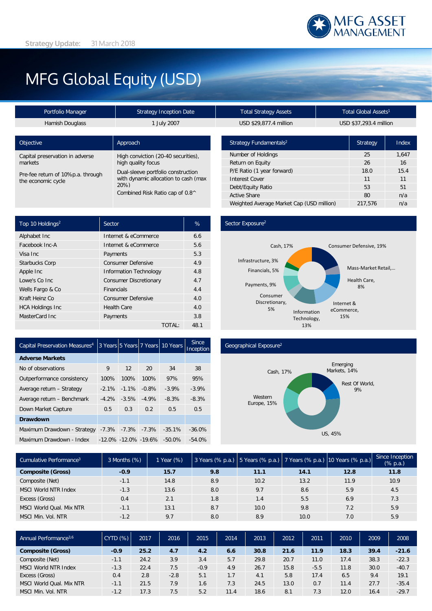

# MFG Global Equity (USD)

| Portfolio Manager                                       | <b>Strategy Inception Date</b>                                                        | Total Strategy Assets              | Total Global Assets'   |  |
|---------------------------------------------------------|---------------------------------------------------------------------------------------|------------------------------------|------------------------|--|
| Hamish Douglass                                         | 1 July 2007                                                                           | USD \$29,877.4 million             | USD \$37,293.4 million |  |
|                                                         |                                                                                       |                                    |                        |  |
| Objective                                               | Approach                                                                              | Strategy Fundamentals <sup>2</sup> | Strategy               |  |
| Capital preservation in adverse                         | High conviction (20-40 securities),                                                   | Number of Holdings                 | 25                     |  |
| markets                                                 | high quality focus                                                                    | Return on Equity                   | 26                     |  |
| Pre-fee return of 10%p.a. through<br>the economic cycle | Dual-sleeve portfolio construction<br>with dynamic allocation to cash (max<br>$20\%)$ | P/E Ratio (1 year forward)         | 18.0                   |  |
|                                                         |                                                                                       | <b>Interest Cover</b>              | 11                     |  |
|                                                         |                                                                                       | Debt/Equity Ratio                  | 53                     |  |
|                                                         | Combined Risk Ratio cap of 0.8^                                                       | Active Share                       | $\circ$                |  |

| $USD$ \$29,877.4 million           | $USD$ \$31,293.4 Million |       |  |  |  |
|------------------------------------|--------------------------|-------|--|--|--|
|                                    |                          |       |  |  |  |
| Strategy Fundamentals <sup>2</sup> | Strategy                 | Index |  |  |  |
| Number of Holdings                 | 25                       | 1,647 |  |  |  |
| Return on Equity                   | 26                       | 16    |  |  |  |
| P/E Ratio (1 year forward)         | 18.0                     | 15.4  |  |  |  |

Interest Cover 11 11

Portal Strategy Assets **Protal Date Total Global Assets<sup>1</sup>** 

Debt/Equity Ratio 53 51 Active Share 80 n/a Weighted Average Market Cap (USD million) 217,576 n/a

| Top 10 Holdings <sup>2</sup> | Sector                        | $\%$ |
|------------------------------|-------------------------------|------|
| Alphabet Inc                 | Internet & eCommerce          | 6.6  |
| Facebook Inc-A               | Internet & eCommerce          | 5.6  |
| Visa Inc.                    | Payments                      | 5.3  |
| <b>Starbucks Corp</b>        | <b>Consumer Defensive</b>     | 4.9  |
| Apple Inc                    | <b>Information Technology</b> | 4.8  |
| Lowe's Co Inc.               | <b>Consumer Discretionary</b> | 4.7  |
| Wells Fargo & Co             | <b>Financials</b>             | 4.4  |
| Kraft Heinz Co               | <b>Consumer Defensive</b>     | 4.0  |
| <b>HCA Holdings Inc</b>      | <b>Health Care</b>            | 4.0  |
| MasterCard Inc.              | Payments                      | 3.8  |
|                              | TOTAL:                        | 48.1 |

#### Sector Exposure<sup>2</sup>



| <b>Capital Preservation Measures4</b> |         |                           |         | 3 Years 5 Years 7 Years 10 Years | Since<br>Inception |  |
|---------------------------------------|---------|---------------------------|---------|----------------------------------|--------------------|--|
| <b>Adverse Markets</b>                |         |                           |         |                                  |                    |  |
| No of observations                    | 9       | 12                        | 20      | 34                               | 38                 |  |
| Outperformance consistency            | 100%    | 100%                      | 100%    | 97%                              | 95%                |  |
| Average return - Strategy             | $-2.1%$ | $-1.1%$                   | $-0.8%$ | $-3.9%$                          | $-3.9%$            |  |
| Average return - Benchmark            | $-4.2%$ | $-3.5%$                   | $-4.9%$ | $-8.3%$                          | $-8.3%$            |  |
| Down Market Capture                   | 0.5     | 0.3                       | 0.2     | 0.5                              | 0.5                |  |
| <b>Drawdown</b>                       |         |                           |         |                                  |                    |  |
| Maximum Drawdown - Strategy           | $-7.3%$ | $-7.3%$                   | $-7.3%$ | $-35.1%$                         | $-36.0%$           |  |
| Maximum Drawdown - Index              |         | $-12.0\% -12.0\% -19.6\%$ |         | $-50.0\%$                        | $-54.0%$           |  |

### Geographical Exposure2



| Cumulative Performance <sup>3</sup> | 3 Months (%) | 1 Year (%) | 3 Years (% p.a.)   5 Years (% p.a.)   7 Years (% p.a.)   10 Years (% p.a.) |      |      |      | Since Inception<br>$(% \mathbb{R}^2)$ (% p.a.) |
|-------------------------------------|--------------|------------|----------------------------------------------------------------------------|------|------|------|------------------------------------------------|
| <b>Composite (Gross)</b>            | $-0.9$       | 15.7       | 9.8                                                                        | 11.1 | 14.1 | 12.8 | 11.8                                           |
| Composite (Net)                     | $-1.1$       | 14.8       | 8.9                                                                        | 10.2 | 13.2 | 11.9 | 10.9                                           |
| MSCI World NTR Index                | $-1.3$       | 13.6       | 8.0                                                                        | 9.7  | 8.6  | 5.9  | 4.5                                            |
| Excess (Gross)                      | 0.4          | 2.1        | 1.8                                                                        | 1.4  | 5.5  | 6.9  | 7.3                                            |
| MSCI World Oual, Mix NTR            | $-1.1$       | 13.1       | 8.7                                                                        | 10.0 | 9.8  | 7.2  | 5.9                                            |
| MSCI Min. Vol. NTR                  | $-1.2$       | 9.7        | 8.0                                                                        | 8.9  | 10.0 | 7.0  | 5.9                                            |

| Annual Performance <sup>3,6</sup> | <b>CYTD (%)</b> | 2017 | 2016   | 2015   | 2014 | 2013 | 2012 | 2011   | 2010 | 2009 | 2008    |
|-----------------------------------|-----------------|------|--------|--------|------|------|------|--------|------|------|---------|
| <b>Composite (Gross)</b>          | $-0.9$          | 25.2 | 4.7    | 4.2    | 6.6  | 30.8 | 21.6 | 11.9   | 18.3 | 39.4 | $-21.6$ |
| Composite (Net)                   | $-1.1$          | 24.2 | 3.9    | 3.4    | 5.7  | 29.8 | 20.7 | 11.0   | 17.4 | 38.3 | $-22.3$ |
| <b>MSCI World NTR Index</b>       | $-1.3$          | 22.4 | 7.5    | $-0.9$ | 4.9  | 26.7 | 15.8 | $-5.5$ | 11.8 | 30.0 | $-40.7$ |
| Excess (Gross)                    | 0.4             | 2.8  | $-2.8$ | 5.1    | 1.7  | 4.1  | 5.8  | 17.4   | 6.5  | 9.4  | 19.1    |
| MSCI World Qual. Mix NTR          | $-1.1$          | 21.5 | 7.9    | 1.6    | 7.3  | 24.5 | 13.0 | 0.7    | 11.4 | 27.7 | $-35.4$ |
| MSCI Min. Vol. NTR                | $-1.2$          | 17.3 | 7.5    | 5.2    | 11.4 | 18.6 | 8.1  | 7.3    | 12.0 | 16.4 | $-29.7$ |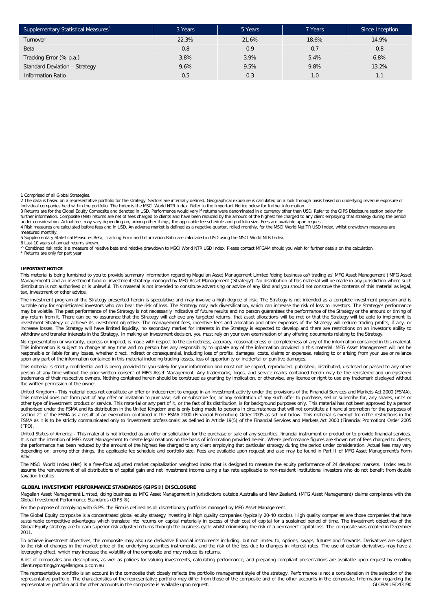| Supplementary Statistical Measures <sup>5</sup> | 3 Years | 5 Years | 7 Years | Since Inception |
|-------------------------------------------------|---------|---------|---------|-----------------|
| Turnover                                        | 22.3%   | 21.6%   | 18.6%   | 14.9%           |
| Beta                                            | 0.8     | 0.9     | 0.7     | 0.8             |
| Tracking Error (% p.a.)                         | 3.8%    | 3.9%    | 5.4%    | 6.8%            |
| Standard Deviation - Strategy                   | 9.6%    | 9.5%    | 9.8%    | 13.2%           |
| <b>Information Ratio</b>                        | 0.5     | 0.3     | 1.0     | 1.1             |

1 Comprised of all Global Strategies.

2 The data is based on a representative portfolio for the strategy. Sectors are internally defined. Geographical exposure is calculated on a look through basis based on underlying revenue exposure of<br>individual companies h

3 Returns are for the Global Equity Composite and denoted in USD. Performance would vary if returns were denominated in a currency other than USD. Refer to the GIPS Disclosure section below for<br>further information. Composi

under consideration. Actual fees may vary depending on, among other things, the applicable fee schedule and portfolio size. Fees are available upon request.<br>4 Risk measures are calculated before fees and in USD. An adverse measured monthly.

5 Supplementary Statistical Measures Beta, Tracking Error and Information Ratio are calculated in USD using the MSCI World NTR Index. 6 Last 10 years of annual returns shown.

^ Combined risk ratio is a measure of relative beta and relative drawdown to MSCI World NTR USD Index. Please contact MFGAM should you wish for further details on the calculation. \* Returns are only for part year.

#### **IMPORTANT NOTICE**

This material is being furnished to you to provide summary information regarding Magellan Asset Management Limited 'doing business as'/'trading as' MFG Asset Management ('MFG Asset Management') and an investment fund or investment strategy managed by MFG Asset Management ('Strategy'). No distribution of this material will be made in any jurisdiction where such distribution is not authorised or is unlawful. This material is not intended to constitute advertising or advice of any kind and you should not construe the contents of this material as legal, tax, investment or other advice.

The investment program of the Strategy presented herein is speculative and may involve a high degree of risk. The Strategy is not intended as a complete investment program and is suitable only for sophisticated investors who can bear the risk of loss. The Strategy may lack diversification, which can increase the risk of loss to investors. The Strategy's performance may be volatile. The past performance of the Strategy is not necessarily indicative of future results and no person guarantees the performance of the Strategy or the amount or timing of any return from it. There can be no assurance that the Strategy will achieve any targeted returns, that asset allocations will be met or that the Strategy will be able to implement its investment Strategy or achieve its investment objective. The management fees, incentive fees and allocation and other expenses of the Strategy will reduce trading profits, if any, or increase losses. The Strategy will have limited liquidity, no secondary market for interests in the Strategy is expected to develop and there are restrictions on an investor's ability to withdraw and transfer interests in the Strategy. In making an investment decision, you must rely on your own examination of any offering documents relating to the Strategy.

No representation or warranty, express or implied, is made with respect to the correctness, accuracy, reasonableness or completeness of any of the information contained in this material. This information is subject to change at any time and no person has any responsibility to update any of the information provided in this material. MFG Asset Management will not be responsible or liable for any losses, whether direct, indirect or consequential, including loss of profits, damages, costs, claims or expenses, relating to or arising from your use or reliance<br>upon any part of the informat

This material is strictly confidential and is being provided to you solely for your information and must not be copied, reproduced, published, distributed, disclosed or passed to any other person at any time without the prior written consent of MFG Asset Management. Any trademarks, logos, and service marks contained herein may be the registered and unregistered trademarks of their respective owners. Nothing contained herein should be construed as granting by implication, or otherwise, any licence or right to use any trademark displayed without the written permission of the owner.

United Kingdom - This material does not constitute an offer or inducement to engage in an investment activity under the provisions of the Financial Services and Markets Act 2000 (FSMA). This material does not form part of any offer or invitation to purchase, sell or subscribe for, or any solicitation of any such offer to purchase, sell or subscribe for, any shares, units or other type of investment product or service. This material or any part of it, or the fact of its distribution, is for background purposes only. This material has not been approved by a person authorised under the FSMA and its distribution in the United Kingdom and is only being made to persons in circumstances that will not constitute a financial promotion for the purposes of section 21 of the FSMA as a result of an exemption contained in the FSMA 2000 (Financial Promotion) Order 2005 as set out below. This material is exempt from the restrictions in the FSMA as it is to be strictly communicated only to 'investment professionals' as defined in Article 19(5) of the Financial Services and Markets Act 2000 (Financial Promotion) Order 2005 (FPO).

United States of America - This material is not intended as an offer or solicitation for the purchase or sale of any securities, financial instrument or product or to provide financial services. It is not the intention of MFG Asset Management to create legal relations on the basis of information provided herein. Where performance figures are shown net of fees charged to clients, the performance has been reduced by the amount of the highest fee charged to any client employing that particular strategy during the period under consideration. Actual fees may vary depending on, among other things, the applicable fee schedule and portfolio size. Fees are available upon request and also may be found in Part II of MFG Asset Management's Form ADV.

The MSCI World Index (Net) is a free-float adjusted market capitalization weighted index that is designed to measure the equity performance of 24 developed markets. Index results assume the reinvestment of all distributions of capital gain and net investment income using a tax rate applicable to non-resident institutional investors who do not benefit from double taxation treaties.

#### **GLOBAL INVESTMENT PERFORMANCE STANDARDS (GIPS®) DISCLOSURE**

Magellan Asset Management Limited, doing business as MFG Asset Management in jurisdictions outside Australia and New Zealand, (MFG Asset Management) claims compliance with the Global Investment Performance Standards (GIPS ®)

For the purpose of complying with GIPS, the Firm is defined as all discretionary portfolios managed by MFG Asset Management.

The Global Equity composite is a concentrated global equity strategy investing in high quality companies (typically 20-40 stocks). High quality companies are those companies that have sustainable competitive advantages which translate into returns on capital materially in excess of their cost of capital for a sustained period of time. The investment objectives of the Global Equity strategy are to earn superior risk adjusted returns through the business cycle whilst minimising the risk of a permanent capital loss. The composite was created in December 2011.

To achieve investment objectives, the composite may also use derivative financial instruments including, but not limited to, options, swaps, futures and forwards. Derivatives are subject<br>to the risk of changes in the marke leveraging effect, which may increase the volatility of the composite and may reduce its returns.

A list of composites and descriptions, as well as policies for valuing investments, calculating performance, and preparing compliant presentations are available upon request by emailing client.reporting@magellangroup.com.au

The representative portfolio is an account in the composite that closely reflects the portfolio management style of the strategy. Performance is not a consideration in the selection of the<br>representative portfolio. The cha representative portfolio and the other accounts in the composite is available upon request.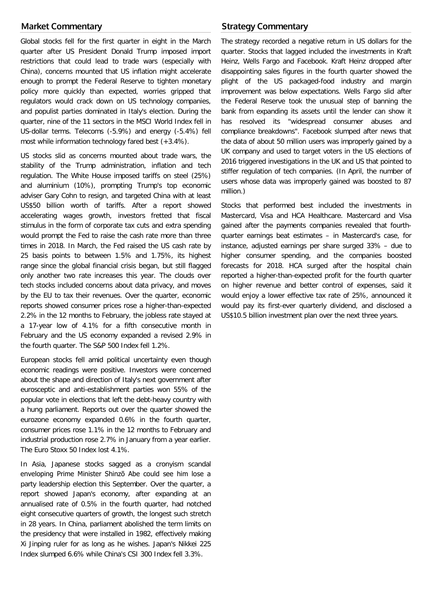# **Market Commentary**

Global stocks fell for the first quarter in eight in the March quarter after US President Donald Trump imposed import restrictions that could lead to trade wars (especially with China), concerns mounted that US inflation might accelerate enough to prompt the Federal Reserve to tighten monetary policy more quickly than expected, worries gripped that regulators would crack down on US technology companies, and populist parties dominated in Italy's election. During the quarter, nine of the 11 sectors in the MSCI World Index fell in US-dollar terms. Telecoms (-5.9%) and energy (-5.4%) fell most while information technology fared best (+3.4%).

US stocks slid as concerns mounted about trade wars, the stability of the Trump administration, inflation and tech regulation. The White House imposed tariffs on steel (25%) and aluminium (10%), prompting Trump's top economic adviser Gary Cohn to resign, and targeted China with at least US\$50 billion worth of tariffs. After a report showed accelerating wages growth, investors fretted that fiscal stimulus in the form of corporate tax cuts and extra spending would prompt the Fed to raise the cash rate more than three times in 2018. In March, the Fed raised the US cash rate by 25 basis points to between 1.5% and 1.75%, its highest range since the global financial crisis began, but still flagged only another two rate increases this year. The clouds over tech stocks included concerns about data privacy, and moves by the EU to tax their revenues. Over the quarter, economic reports showed consumer prices rose a higher-than-expected 2.2% in the 12 months to February, the jobless rate stayed at a 17-year low of 4.1% for a fifth consecutive month in February and the US economy expanded a revised 2.9% in the fourth quarter. The S&P 500 Index fell 1.2%.

European stocks fell amid political uncertainty even though economic readings were positive. Investors were concerned about the shape and direction of Italy's next government after eurosceptic and anti-establishment parties won 55% of the popular vote in elections that left the debt-heavy country with a hung parliament. Reports out over the quarter showed the eurozone economy expanded 0.6% in the fourth quarter, consumer prices rose 1.1% in the 12 months to February and industrial production rose 2.7% in January from a year earlier. The Euro Stoxx 50 Index lost 4.1%.

In Asia, Japanese stocks sagged as a cronyism scandal enveloping Prime Minister Shinzō Abe could see him lose a party leadership election this September. Over the quarter, a report showed Japan's economy, after expanding at an annualised rate of 0.5% in the fourth quarter, had notched eight consecutive quarters of growth, the longest such stretch in 28 years. In China, parliament abolished the term limits on the presidency that were installed in 1982, effectively making Xi Jinping ruler for as long as he wishes. Japan's Nikkei 225 Index slumped 6.6% while China's CSI 300 Index fell 3.3%.

# **Strategy Commentary**

The strategy recorded a negative return in US dollars for the quarter. Stocks that lagged included the investments in Kraft Heinz, Wells Fargo and Facebook. Kraft Heinz dropped after disappointing sales figures in the fourth quarter showed the plight of the US packaged-food industry and margin improvement was below expectations. Wells Fargo slid after the Federal Reserve took the unusual step of banning the bank from expanding its assets until the lender can show it has resolved its "widespread consumer abuses and compliance breakdowns". Facebook slumped after news that the data of about 50 million users was improperly gained by a UK company and used to target voters in the US elections of 2016 triggered investigations in the UK and US that pointed to stiffer regulation of tech companies. (In April, the number of users whose data was improperly gained was boosted to 87 million.)

Stocks that performed best included the investments in Mastercard, Visa and HCA Healthcare. Mastercard and Visa gained after the payments companies revealed that fourthquarter earnings beat estimates – in Mastercard's case, for instance, adjusted earnings per share surged 33% – due to higher consumer spending, and the companies boosted forecasts for 2018. HCA surged after the hospital chain reported a higher-than-expected profit for the fourth quarter on higher revenue and better control of expenses, said it would enjoy a lower effective tax rate of 25%, announced it would pay its first-ever quarterly dividend, and disclosed a US\$10.5 billion investment plan over the next three years.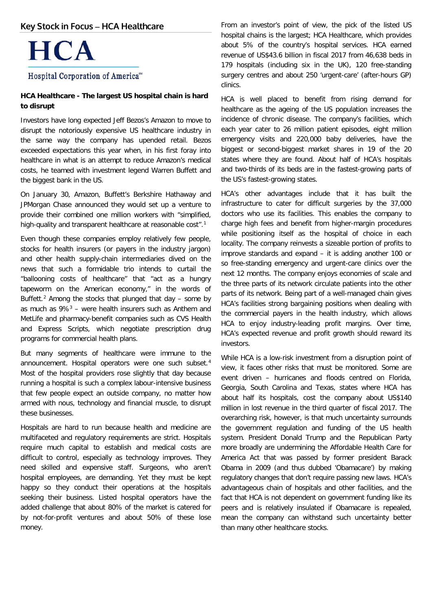# **Key Stock in Focus – HCA Healthcare**



Hospital Corporation of America<sup>®</sup>

## **HCA Healthcare - The largest US hospital chain is hard to disrupt**

Investors have long expected Jeff Bezos's Amazon to move to disrupt the notoriously expensive US healthcare industry in the same way the company has upended retail. Bezos exceeded expectations this year when, in his first foray into healthcare in what is an attempt to reduce Amazon's medical costs, he teamed with investment legend Warren Buffett and the biggest bank in the US.

On January 30, Amazon, Buffett's Berkshire Hathaway and JPMorgan Chase announced they would set up a venture to provide their combined one million workers with "simplified, high-quality and transparent healthcare at reasonable cost".<sup>[1](#page-3-0)</sup>

Even though these companies employ relatively few people, stocks for health insurers (or payers in the industry jargon) and other health supply-chain intermediaries dived on the news that such a formidable trio intends to curtail the "ballooning costs of healthcare" that "act as a hungry tapeworm on the American economy," in the words of Buffett.<sup>[2](#page-3-1)</sup> Among the stocks that plunged that day – some by as much as  $9\%$ <sup>[3](#page-3-2)</sup> – were health insurers such as Anthem and MetLife and pharmacy-benefit companies such as CVS Health and Express Scripts, which negotiate prescription drug programs for commercial health plans.

But many segments of healthcare were immune to the announcement. Hospital operators were one such subset.<sup>[4](#page-3-3)</sup> Most of the hospital providers rose slightly that day because running a hospital is such a complex labour-intensive business that few people expect an outside company, no matter how armed with nous, technology and financial muscle, to disrupt these businesses.

<span id="page-3-3"></span><span id="page-3-2"></span><span id="page-3-1"></span><span id="page-3-0"></span>Hospitals are hard to run because health and medicine are multifaceted and regulatory requirements are strict. Hospitals require much capital to establish and medical costs are difficult to control, especially as technology improves. They need skilled and expensive staff. Surgeons, who aren't hospital employees, are demanding. Yet they must be kept happy so they conduct their operations at the hospitals seeking their business. Listed hospital operators have the added challenge that about 80% of the market is catered for by not-for-profit ventures and about 50% of these lose money.

From an investor's point of view, the pick of the listed US hospital chains is the largest; HCA Healthcare, which provides about 5% of the country's hospital services. HCA earned revenue of US\$43.6 billion in fiscal 2017 from 46,638 beds in 179 hospitals (including six in the UK), 120 free-standing surgery centres and about 250 'urgent-care' (after-hours GP) clinics.

HCA is well placed to benefit from rising demand for healthcare as the ageing of the US population increases the incidence of chronic disease. The company's facilities, which each year cater to 26 million patient episodes, eight million emergency visits and 220,000 baby deliveries, have the biggest or second-biggest market shares in 19 of the 20 states where they are found. About half of HCA's hospitals and two-thirds of its beds are in the fastest-growing parts of the US's fastest-growing states.

HCA's other advantages include that it has built the infrastructure to cater for difficult surgeries by the 37,000 doctors who use its facilities. This enables the company to charge high fees and benefit from higher-margin procedures while positioning itself as the hospital of choice in each locality. The company reinvests a sizeable portion of profits to improve standards and expand – it is adding another 100 or so free-standing emergency and urgent-care clinics over the next 12 months. The company enjoys economies of scale and the three parts of its network circulate patients into the other parts of its network. Being part of a well-managed chain gives HCA's facilities strong bargaining positions when dealing with the commercial payers in the health industry, which allows HCA to enjoy industry-leading profit margins. Over time, HCA's expected revenue and profit growth should reward its investors.

While HCA is a low-risk investment from a disruption point of view, it faces other risks that must be monitored. Some are event driven – hurricanes and floods centred on Florida, Georgia, South Carolina and Texas, states where HCA has about half its hospitals, cost the company about US\$140 million in lost revenue in the third quarter of fiscal 2017. The overarching risk, however, is that much uncertainty surrounds the government regulation and funding of the US health system. President Donald Trump and the Republican Party more broadly are undermining the Affordable Health Care for America Act that was passed by former president Barack Obama in 2009 (and thus dubbed 'Obamacare') by making regulatory changes that don't require passing new laws. HCA's advantageous chain of hospitals and other facilities, and the fact that HCA is not dependent on government funding like its peers and is relatively insulated if Obamacare is repealed, mean the company can withstand such uncertainty better than many other healthcare stocks.